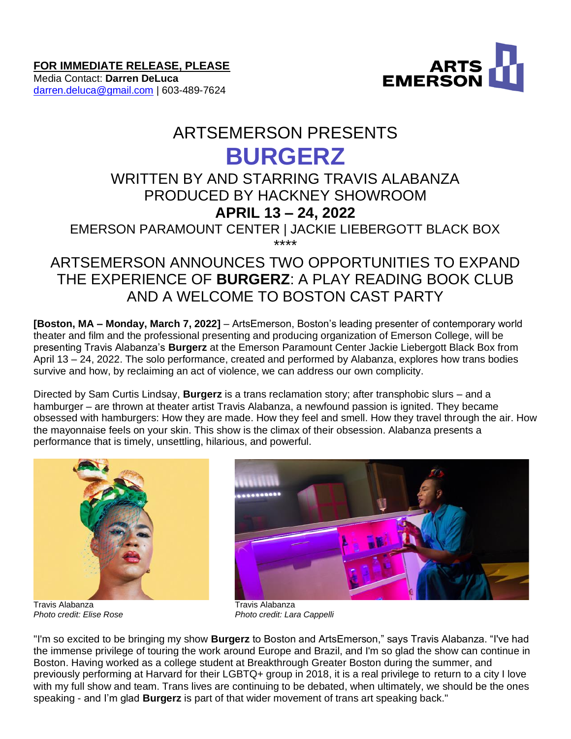**FOR IMMEDIATE RELEASE, PLEASE**

Media Contact: **Darren DeLuca** [darren.deluca@gmail.com](mailto:darren.deluca@gmail.com) | 603-489-7624



# ARTSEMERSON PRESENTS

## **BURGERZ**

## WRITTEN BY AND STARRING TRAVIS ALABANZA PRODUCED BY HACKNEY SHOWROOM

### **APRIL 13 – 24, 2022**

EMERSON PARAMOUNT CENTER | JACKIE LIEBERGOTT BLACK BOX \*\*\*\*

## ARTSEMERSON ANNOUNCES TWO OPPORTUNITIES TO EXPAND THE EXPERIENCE OF **BURGERZ**: A PLAY READING BOOK CLUB AND A WELCOME TO BOSTON CAST PARTY

**[Boston, MA – Monday, March 7, 2022]** – ArtsEmerson, Boston's leading presenter of contemporary world theater and film and the professional presenting and producing organization of Emerson College, will be presenting Travis Alabanza's **Burgerz** at the Emerson Paramount Center Jackie Liebergott Black Box from April 13 – 24, 2022. The solo performance, created and performed by Alabanza, explores how trans bodies survive and how, by reclaiming an act of violence, we can address our own complicity.

Directed by Sam Curtis Lindsay, **Burgerz** is a trans reclamation story; after transphobic slurs – and a hamburger – are thrown at theater artist Travis Alabanza, a newfound passion is ignited. They became obsessed with hamburgers: How they are made. How they feel and smell. How they travel through the air. How the mayonnaise feels on your skin. This show is the climax of their obsession. Alabanza presents a performance that is timely, unsettling, hilarious, and powerful.



Travis Alabanza Travis Alabanza



*Photo credit: Elise Rose Photo credit: Lara Cappelli*

"I'm so excited to be bringing my show **Burgerz** to Boston and ArtsEmerson," says Travis Alabanza. "I've had the immense privilege of touring the work around Europe and Brazil, and I'm so glad the show can continue in Boston. Having worked as a college student at Breakthrough Greater Boston during the summer, and previously performing at Harvard for their LGBTQ+ group in 2018, it is a real privilege to return to a city I love with my full show and team. Trans lives are continuing to be debated, when ultimately, we should be the ones speaking - and I'm glad **Burgerz** is part of that wider movement of trans art speaking back."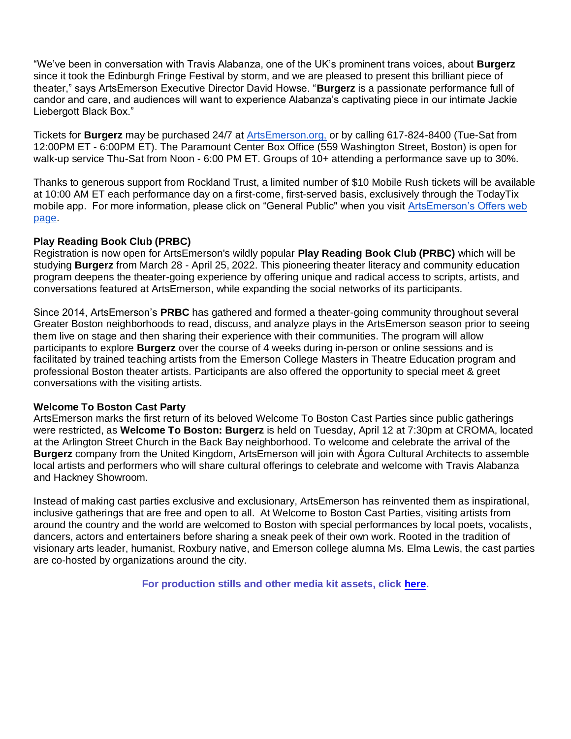"We've been in conversation with Travis Alabanza, one of the UK's prominent trans voices, about **Burgerz**  since it took the Edinburgh Fringe Festival by storm, and we are pleased to present this brilliant piece of theater," says ArtsEmerson Executive Director David Howse. "**Burgerz** is a passionate performance full of candor and care, and audiences will want to experience Alabanza's captivating piece in our intimate Jackie Liebergott Black Box."

Tickets for **Burgerz** may be purchased 24/7 at [ArtsEmerson.org,](https://artsemerson.org/events/iphigenia/) or by calling 617-824-8400 (Tue-Sat from 12:00PM ET - 6:00PM ET). The Paramount Center Box Office (559 Washington Street, Boston) is open for walk-up service Thu-Sat from Noon - 6:00 PM ET. Groups of 10+ attending a performance save up to 30%.

Thanks to generous support from Rockland Trust, a limited number of \$10 Mobile Rush tickets will be available at 10:00 AM ET each performance day on a first-come, first-served basis, exclusively through the TodayTix mobile app. For more information, please click on "General Public'' when you visit [ArtsEmerson's Offers web](https://artsemerson.org/packages-offers/offers/)  [page.](https://artsemerson.org/packages-offers/offers/)

#### **Play Reading Book Club (PRBC)**

Registration is now open for ArtsEmerson's wildly popular **Play Reading Book Club (PRBC)** which will be studying **Burgerz** from March 28 - April 25, 2022. This pioneering theater literacy and community education program deepens the theater-going experience by offering unique and radical access to scripts, artists, and conversations featured at ArtsEmerson, while expanding the social networks of its participants.

Since 2014, ArtsEmerson's **PRBC** has gathered and formed a theater-going community throughout several Greater Boston neighborhoods to read, discuss, and analyze plays in the ArtsEmerson season prior to seeing them live on stage and then sharing their experience with their communities. The program will allow participants to explore **Burgerz** over the course of 4 weeks during in-person or online sessions and is facilitated by trained teaching artists from the Emerson College Masters in Theatre Education program and professional Boston theater artists. Participants are also offered the opportunity to special meet & greet conversations with the visiting artists.

#### **Welcome To Boston Cast Party**

ArtsEmerson marks the first return of its beloved Welcome To Boston Cast Parties since public gatherings were restricted, as **Welcome To Boston: Burgerz** is held on Tuesday, April 12 at 7:30pm at CROMA, located at the Arlington Street Church in the Back Bay neighborhood. To welcome and celebrate the arrival of the **Burgerz** company from the United Kingdom, ArtsEmerson will join with Ágora Cultural Architects to assemble local artists and performers who will share cultural offerings to celebrate and welcome with Travis Alabanza and Hackney Showroom.

Instead of making cast parties exclusive and exclusionary, ArtsEmerson has reinvented them as inspirational, inclusive gatherings that are free and open to all. At Welcome to Boston Cast Parties, visiting artists from around the country and the world are welcomed to Boston with special performances by local poets, vocalists, dancers, actors and entertainers before sharing a sneak peek of their own work. Rooted in the tradition of visionary arts leader, humanist, Roxbury native, and Emerson college alumna Ms. Elma Lewis, the cast parties are co-hosted by organizations around the city.

**For production stills and other media kit assets, click [here.](https://tickets.artsemerson.org/Online/default.asp?doWork::WScontent::loadArticle=Load&BOparam::WScontent::loadArticle::article_id=43D7A14F-4BFA-4D05-8429-AC1117386E26)**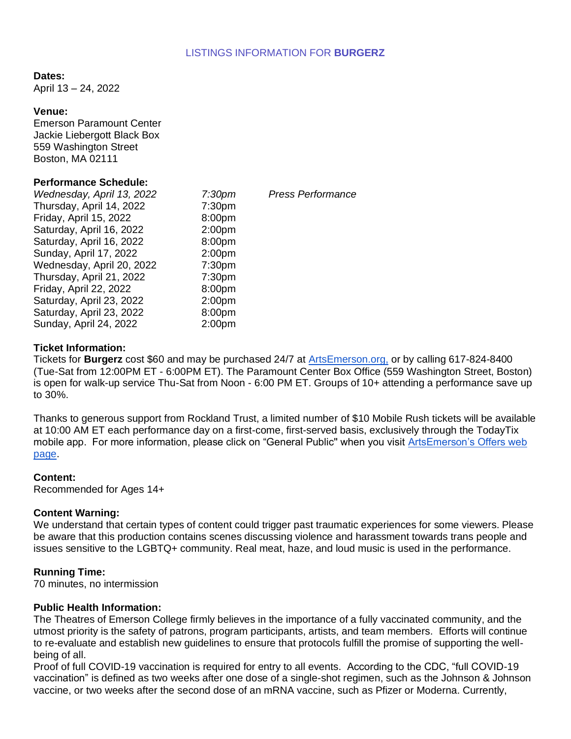#### LISTINGS INFORMATION FOR **BURGERZ**

#### **Dates:**

April 13 – 24, 2022

#### **Venue:**

Emerson Paramount Center Jackie Liebergott Black Box 559 Washington Street Boston, MA 02111

#### **Performance Schedule:**

*Wednesday, April 13, 2022 7:30pm Press Performance* Thursday, April 14, 2022 7:30pm Friday, April 15, 2022 8:00pm Saturday, April 16, 2022 2:00pm Saturday, April 16, 2022 8:00pm Sunday, April 17, 2022 2:00pm Wednesday, April 20, 2022 7:30pm Thursday, April 21, 2022 7:30pm Friday, April 22, 2022 8:00pm Saturday, April 23, 2022 2:00pm Saturday, April 23, 2022 8:00pm Sunday, April 24, 2022 2:00pm

#### **Ticket Information:**

Tickets for **Burgerz** cost \$60 and may be purchased 24/7 at [ArtsEmerson.org,](https://artsemerson.org/events/iphigenia/) or by calling 617-824-8400 (Tue-Sat from 12:00PM ET - 6:00PM ET). The Paramount Center Box Office (559 Washington Street, Boston) is open for walk-up service Thu-Sat from Noon - 6:00 PM ET. Groups of 10+ attending a performance save up to 30%.

Thanks to generous support from Rockland Trust, a limited number of \$10 Mobile Rush tickets will be available at 10:00 AM ET each performance day on a first-come, first-served basis, exclusively through the TodayTix mobile app. For more information, please click on "General Public'' when you visit [ArtsEmerson's Offers web](https://artsemerson.org/packages-offers/offers/)  [page.](https://artsemerson.org/packages-offers/offers/)

#### **Content:**

Recommended for Ages 14+

#### **Content Warning:**

We understand that certain types of content could trigger past traumatic experiences for some viewers. Please be aware that this production contains scenes discussing violence and harassment towards trans people and issues sensitive to the LGBTQ+ community. Real meat, haze, and loud music is used in the performance.

#### **Running Time:**

70 minutes, no intermission

#### **Public Health Information:**

The Theatres of Emerson College firmly believes in the importance of a fully vaccinated community, and the utmost priority is the safety of patrons, program participants, artists, and team members. Efforts will continue to re-evaluate and establish new guidelines to ensure that protocols fulfill the promise of supporting the wellbeing of all.

Proof of full COVID-19 vaccination is required for entry to all events. According to the CDC, "full COVID-19 vaccination" is defined as two weeks after one dose of a single-shot regimen, such as the Johnson & Johnson vaccine, or two weeks after the second dose of an mRNA vaccine, such as Pfizer or Moderna. Currently,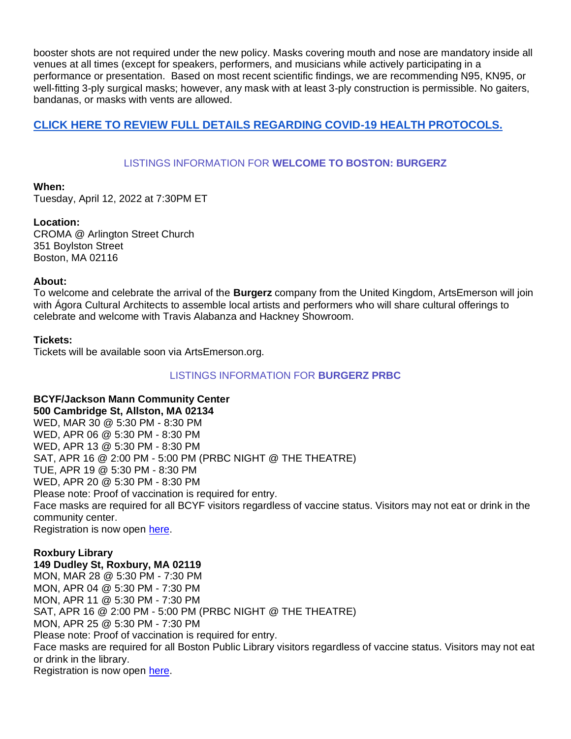booster shots are not required under the new policy. Masks covering mouth and nose are mandatory inside all venues at all times (except for speakers, performers, and musicians while actively participating in a performance or presentation. Based on most recent scientific findings, we are recommending N95, KN95, or well-fitting 3-ply surgical masks; however, any mask with at least 3-ply construction is permissible. No gaiters, bandanas, or masks with vents are allowed.

#### **[CLICK HERE TO REVIEW FULL DETAILS REGARDING COVID-19 HEALTH PROTOCOLS.](https://artsemerson.org/visit/public-health/)**

#### LISTINGS INFORMATION FOR **WELCOME TO BOSTON: BURGERZ**

#### **When:**

Tuesday, April 12, 2022 at 7:30PM ET

#### **Location:**

CROMA @ Arlington Street Church 351 Boylston Street Boston, MA 02116

#### **About:**

To welcome and celebrate the arrival of the **Burgerz** company from the United Kingdom, ArtsEmerson will join with Ágora Cultural Architects to assemble local artists and performers who will share cultural offerings to celebrate and welcome with Travis Alabanza and Hackney Showroom.

#### **Tickets:**

Tickets will be available soon via ArtsEmerson.org.

#### LISTINGS INFORMATION FOR **BURGERZ PRBC**

#### **BCYF/Jackson Mann Community Center**

**500 Cambridge St, Allston, MA 02134** WED, MAR 30 @ 5:30 PM - 8:30 PM WED, APR 06 @ 5:30 PM - 8:30 PM WED, APR 13 @ 5:30 PM - 8:30 PM SAT, APR 16 @ 2:00 PM - 5:00 PM (PRBC NIGHT @ THE THEATRE) TUE, APR 19 @ 5:30 PM - 8:30 PM WED, APR 20 @ 5:30 PM - 8:30 PM Please note: Proof of vaccination is required for entry. Face masks are required for all BCYF visitors regardless of vaccine status. Visitors may not eat or drink in the community center. Registration is now open [here.](https://tickets.artsemerson.org/online/seatSelect.asp?createBO::WSmap=1&BOparam::WSmap::loadBestAvailable::performance_ids=9C10E5E7-C69A-4697-8954-39850F7A9185)

#### **Roxbury Library**

**149 Dudley St, Roxbury, MA 02119** MON, MAR 28 @ 5:30 PM - 7:30 PM MON, APR 04 @ 5:30 PM - 7:30 PM MON, APR 11 @ 5:30 PM - 7:30 PM SAT, APR 16 @ 2:00 PM - 5:00 PM (PRBC NIGHT @ THE THEATRE) MON, APR 25 @ 5:30 PM - 7:30 PM Please note: Proof of vaccination is required for entry. Face masks are required for all Boston Public Library visitors regardless of vaccine status. Visitors may not eat or drink in the library. Registration is now open [here.](https://tickets.artsemerson.org/online/seatSelect.asp?createBO::WSmap=1&BOparam::WSmap::loadBestAvailable::performance_ids=D3935274-E07D-47CE-A300-C791FABC2E7F)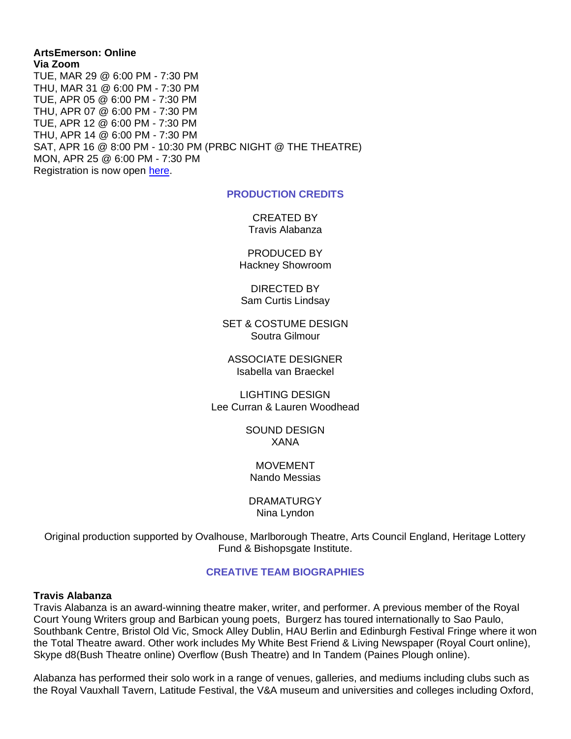#### **ArtsEmerson: Online Via Zoom** TUE, MAR 29 @ 6:00 PM - 7:30 PM THU, MAR 31 @ 6:00 PM - 7:30 PM TUE, APR 05 @ 6:00 PM - 7:30 PM THU, APR 07 @ 6:00 PM - 7:30 PM TUE, APR 12 @ 6:00 PM - 7:30 PM THU, APR 14 @ 6:00 PM - 7:30 PM SAT, APR 16 @ 8:00 PM - 10:30 PM (PRBC NIGHT @ THE THEATRE) MON, APR 25 @ 6:00 PM - 7:30 PM Registration is now open [here.](https://tickets.artsemerson.org/online/seatSelect.asp?createBO::WSmap=1&BOparam::WSmap::loadBestAvailable::performance_ids=9DDBCDAD-AE1E-46B7-A5DC-C2EB8924AAFD)

#### **PRODUCTION CREDITS**

CREATED BY Travis Alabanza

PRODUCED BY Hackney Showroom

DIRECTED BY Sam Curtis Lindsay

SET & COSTUME DESIGN Soutra Gilmour

ASSOCIATE DESIGNER Isabella van Braeckel

LIGHTING DESIGN Lee Curran & Lauren Woodhead

> SOUND DESIGN XANA

MOVEMENT Nando Messias

DRAMATURGY Nina Lyndon

Original production supported by Ovalhouse, Marlborough Theatre, Arts Council England, Heritage Lottery Fund & Bishopsgate Institute.

#### **CREATIVE TEAM BIOGRAPHIES**

#### **Travis Alabanza**

Travis Alabanza is an award-winning theatre maker, writer, and performer. A previous member of the Royal Court Young Writers group and Barbican young poets, Burgerz has toured internationally to Sao Paulo, Southbank Centre, Bristol Old Vic, Smock Alley Dublin, HAU Berlin and Edinburgh Festival Fringe where it won the Total Theatre award. Other work includes My White Best Friend & Living Newspaper (Royal Court online), Skype d8(Bush Theatre online) Overflow (Bush Theatre) and In Tandem (Paines Plough online).

Alabanza has performed their solo work in a range of venues, galleries, and mediums including clubs such as the Royal Vauxhall Tavern, Latitude Festival, the V&A museum and universities and colleges including Oxford,